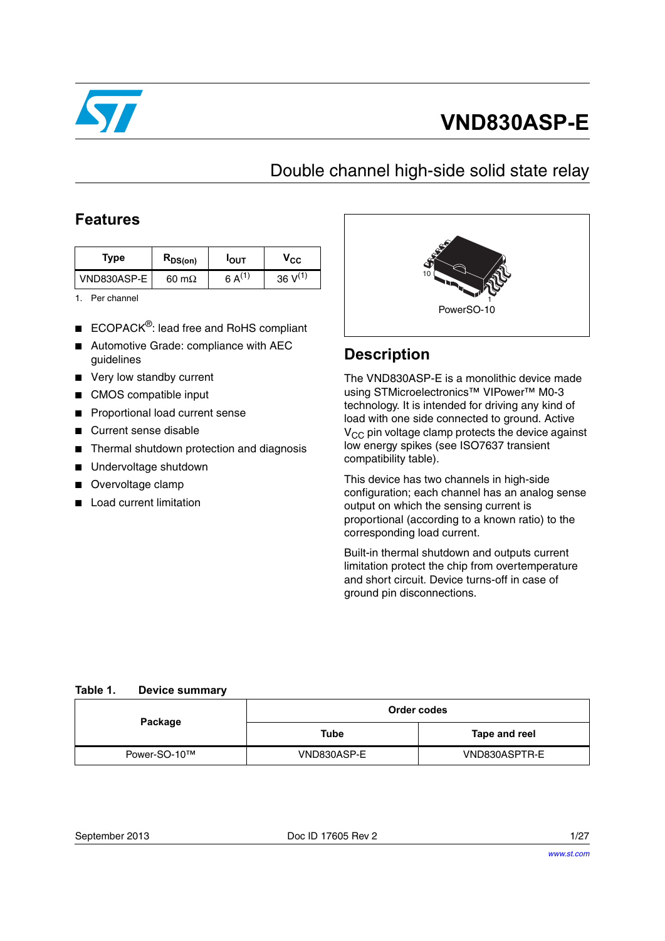

# **VND830ASP-E**

## Double channel high-side solid state relay

### **Features**

| Type        | $R_{DS(on)}$  | <b>POUT</b>  | $\mathsf{v}_{\mathsf{cc}}$ |
|-------------|---------------|--------------|----------------------------|
| VND830ASP-E | 60 m $\Omega$ | 6 A $^{(1)}$ | $36 V^{(1)}$               |

<span id="page-0-0"></span>1. Per channel

- ECOPACK<sup>®</sup>: lead free and RoHS compliant
- Automotive Grade: compliance with AEC guidelines
- Very low standby current
- CMOS compatible input
- **Proportional load current sense**
- Current sense disable
- Thermal shutdown protection and diagnosis
- Undervoltage shutdown
- Overvoltage clamp
- **Load current limitation**



## **Description**

The VND830ASP-E is a monolithic device made using STMicroelectronics™ VIPower™ M0-3 technology. It is intended for driving any kind of load with one side connected to ground. Active  $V_{CC}$  pin voltage clamp protects the device against low energy spikes (see ISO7637 transient compatibility table).

This device has two channels in high-side configuration; each channel has an analog sense output on which the sensing current is proportional (according to a known ratio) to the corresponding load current.

Built-in thermal shutdown and outputs current limitation protect the chip from overtemperature and short circuit. Device turns-off in case of ground pin disconnections.

#### <span id="page-0-1"></span>**Table 1. Device summary**

| Package      | Order codes |               |  |  |
|--------------|-------------|---------------|--|--|
|              | Tube        | Tape and reel |  |  |
| Power-SO-10™ | VND830ASP-E | VND830ASPTR-E |  |  |

| September 2013 |  |
|----------------|--|
|----------------|--|

Doc ID 17605 Rev 2 1/27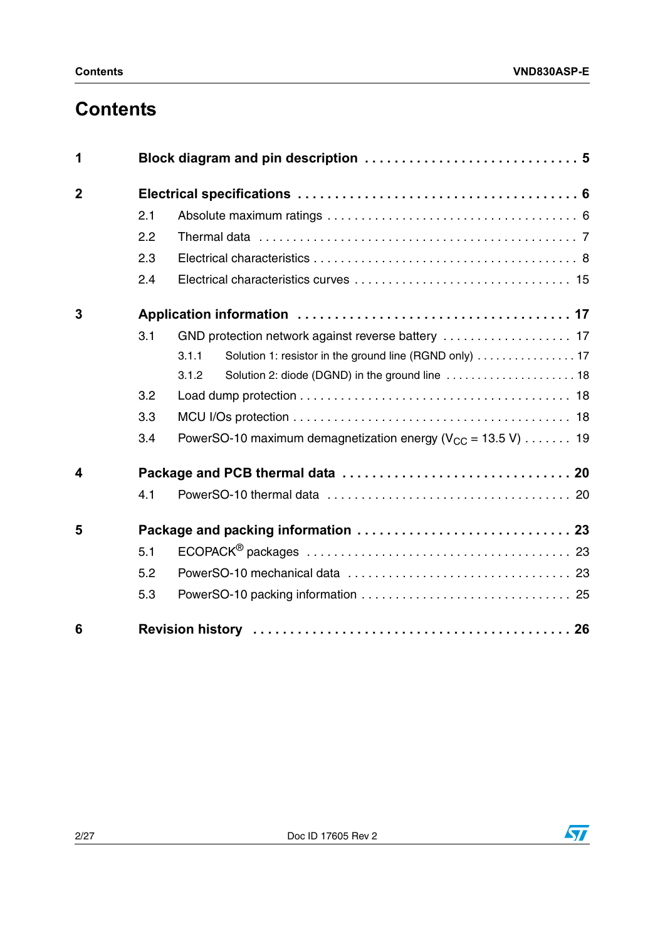# **Contents**

| 1              |     |                                                                   |  |  |  |  |
|----------------|-----|-------------------------------------------------------------------|--|--|--|--|
| $\overline{2}$ |     |                                                                   |  |  |  |  |
|                | 2.1 |                                                                   |  |  |  |  |
|                | 2.2 |                                                                   |  |  |  |  |
|                | 2.3 |                                                                   |  |  |  |  |
|                | 2.4 |                                                                   |  |  |  |  |
| 3              |     |                                                                   |  |  |  |  |
|                | 3.1 |                                                                   |  |  |  |  |
|                |     | Solution 1: resistor in the ground line (RGND only)  17<br>3.1.1  |  |  |  |  |
|                |     | Solution 2: diode (DGND) in the ground line  18<br>3.1.2          |  |  |  |  |
|                | 3.2 |                                                                   |  |  |  |  |
|                | 3.3 |                                                                   |  |  |  |  |
|                | 3.4 | PowerSO-10 maximum demagnetization energy ( $V_{CC}$ = 13.5 V) 19 |  |  |  |  |
| 4              |     |                                                                   |  |  |  |  |
|                | 4.1 |                                                                   |  |  |  |  |
| 5              |     |                                                                   |  |  |  |  |
|                | 5.1 |                                                                   |  |  |  |  |
|                | 5.2 |                                                                   |  |  |  |  |
|                | 5.3 |                                                                   |  |  |  |  |
| 6              |     |                                                                   |  |  |  |  |

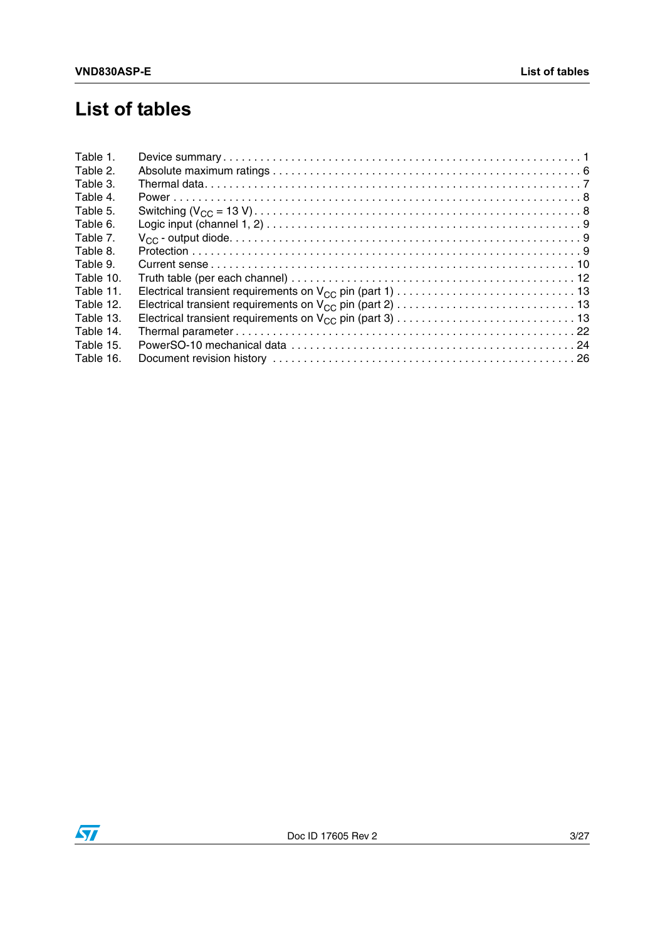# **List of tables**

| Table 1.  |  |
|-----------|--|
| Table 2.  |  |
| Table 3.  |  |
| Table 4.  |  |
| Table 5.  |  |
| Table 6.  |  |
| Table 7.  |  |
| Table 8.  |  |
| Table 9.  |  |
| Table 10. |  |
| Table 11. |  |
| Table 12. |  |
| Table 13. |  |
| Table 14. |  |
| Table 15. |  |
| Table 16. |  |

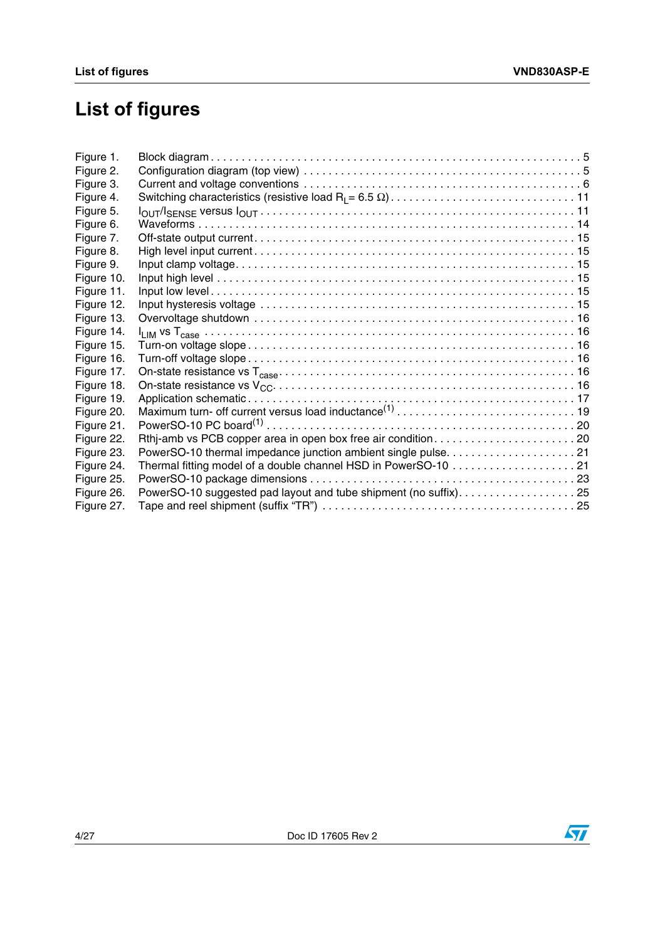# **List of figures**

| Thermal fitting model of a double channel HSD in PowerSO-10 21<br>PowerSO-10 suggested pad layout and tube shipment (no suffix)25 |
|-----------------------------------------------------------------------------------------------------------------------------------|

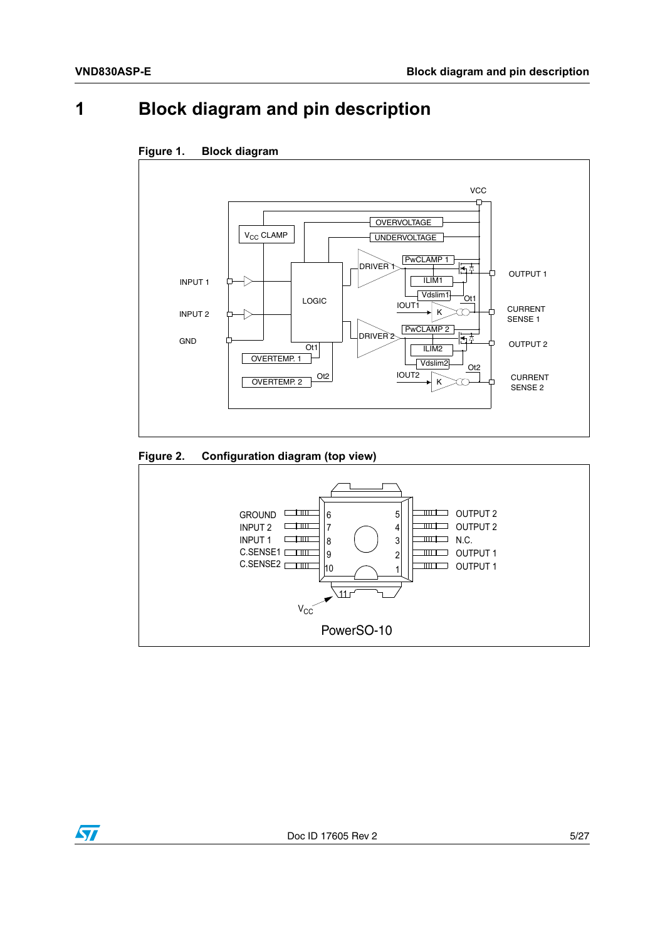## <span id="page-4-0"></span>**1 Block diagram and pin description**



#### <span id="page-4-1"></span>**Figure 1. Block diagram**

#### <span id="page-4-2"></span>**Figure 2. Configuration diagram (top view)**



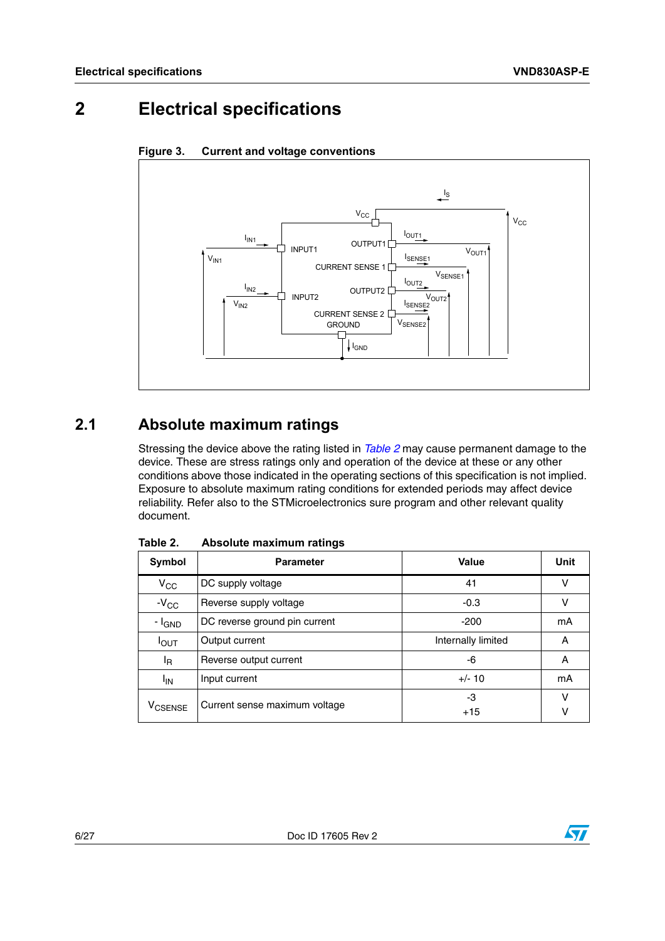## <span id="page-5-0"></span>**2 Electrical specifications**



#### <span id="page-5-3"></span>**Figure 3. Current and voltage conventions**

### <span id="page-5-1"></span>**2.1 Absolute maximum ratings**

Stressing the device above the rating listed in *[Table 2](#page-5-2)* may cause permanent damage to the device. These are stress ratings only and operation of the device at these or any other conditions above those indicated in the operating sections of this specification is not implied. Exposure to absolute maximum rating conditions for extended periods may affect device reliability. Refer also to the STMicroelectronics sure program and other relevant quality document.

| Symbol                    | <b>Parameter</b>              | Value              | <b>Unit</b> |
|---------------------------|-------------------------------|--------------------|-------------|
| $V_{CC}$                  | DC supply voltage             | 41                 | ν           |
| $-V_{CC}$                 | Reverse supply voltage        | $-0.3$             | ν           |
| - I <sub>GND</sub>        | DC reverse ground pin current | $-200$             | mA          |
| $I_{\text{OUT}}$          | Output current                | Internally limited | A           |
| <sup>I</sup> R            | Reverse output current        | -6                 | A           |
| <sup>I</sup> IN           | Input current                 | $+/- 10$           | mA          |
| <b>V<sub>CSENSE</sub></b> | Current sense maximum voltage | -3<br>$+15$        | ν<br>ν      |

<span id="page-5-2"></span>Table 2. **Absolute maximum ratings** 

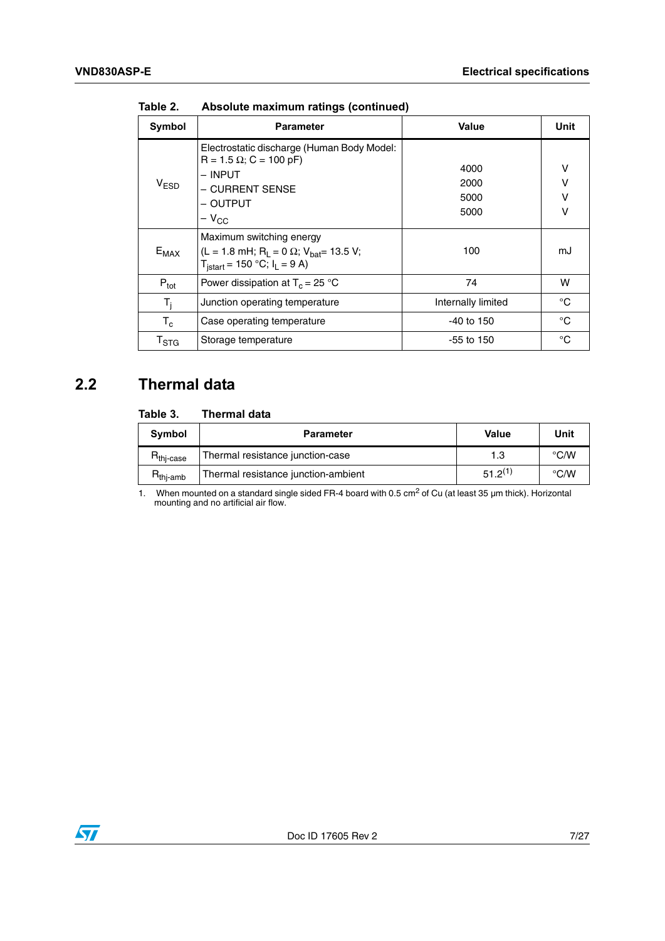| Symbol                    | <b>Parameter</b>                                                                                                                                           | Value                        | Unit             |
|---------------------------|------------------------------------------------------------------------------------------------------------------------------------------------------------|------------------------------|------------------|
| V <sub>ESD</sub>          | Electrostatic discharge (Human Body Model:<br>$R = 1.5 \Omega$ ; C = 100 pF)<br>– INPUT<br>- CURRENT SENSE<br>- OUTPUT<br>$-V_{CC}$                        | 4000<br>2000<br>5000<br>5000 | ٧<br>V<br>v<br>v |
| $E_{MAX}$                 | Maximum switching energy<br>(L = 1.8 mH; R <sub>L</sub> = 0 $\Omega$ ; V <sub>bat</sub> = 13.5 V;<br>$T_{\text{is tart}} = 150 \text{ °C}$ ; $I_L = 9 A$ ) | 100                          | mJ               |
| $P_{\text{tot}}$          | Power dissipation at $T_c = 25$ °C                                                                                                                         | 74                           | w                |
| $T_i$                     | Junction operating temperature                                                                                                                             | Internally limited           | °C               |
| $T_c$                     | Case operating temperature                                                                                                                                 | $-40$ to 150                 | °C               |
| $\mathsf{T}_{\text{STG}}$ | Storage temperature                                                                                                                                        | $-55$ to 150                 | °C               |

**Table 2. Absolute maximum ratings (continued)**

## <span id="page-6-0"></span>**2.2 Thermal data**

#### <span id="page-6-1"></span>Table 3. **Thermal data**

| Symbol                | <b>Parameter</b>                    | Value        | Unit               |
|-----------------------|-------------------------------------|--------------|--------------------|
| $R_{\text{thi-case}}$ | Thermal resistance junction-case    | 1.3          | °C/W               |
| $H_{\text{thi-amb}}$  | Thermal resistance junction-ambient | $51.2^{(1)}$ | $\rm ^{\circ}$ C/W |

1. When mounted on a standard single sided FR-4 board with 0.5 cm<sup>2</sup> of Cu (at least 35 µm thick). Horizontal mounting and no artificial air flow.

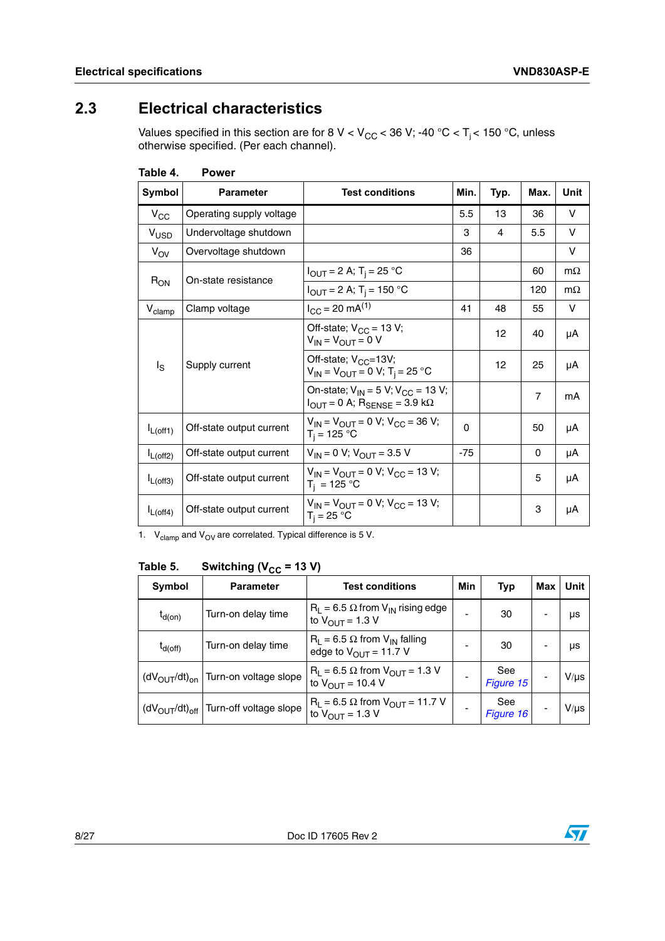## <span id="page-7-0"></span>**2.3 Electrical characteristics**

Values specified in this section are for 8 V < V<sub>CC</sub> < 36 V; -40 °C < T<sub>j</sub> < 150 °C, unless otherwise specified. (Per each channel).

| Symbol             | <b>Parameter</b>         | <b>Test conditions</b>                                                                                      | Min.     | Typ. | Max.           | Unit      |
|--------------------|--------------------------|-------------------------------------------------------------------------------------------------------------|----------|------|----------------|-----------|
| $V_{\rm CC}$       | Operating supply voltage |                                                                                                             | 5.5      | 13   | 36             | v         |
| V <sub>USD</sub>   | Undervoltage shutdown    |                                                                                                             | 3        | 4    | 5.5            | v         |
| $V_{\text{OV}}$    | Overvoltage shutdown     |                                                                                                             | 36       |      |                | v         |
| $R_{ON}$           | On-state resistance      | $I_{OUT} = 2 A; T_i = 25 °C$                                                                                |          |      | 60             | $m\Omega$ |
|                    |                          | $I_{OUT} = 2 A; T_i = 150 °C$                                                                               |          |      | 120            | $m\Omega$ |
| $V_{\text{clamp}}$ | Clamp voltage            | $I_{CC}$ = 20 mA <sup>(1)</sup>                                                                             | 41       | 48   | 55             | v         |
| $I_{\rm S}$        | Supply current           | Off-state; $V_{CC}$ = 13 V;<br>$V_{IN} = V_{OUIT} = 0 V$                                                    |          | 12   | 40             | μA        |
|                    |                          | Off-state; $V_{CC} = 13V$ ;<br>$V_{IN} = V_{OUT} = 0 V; T_i = 25 °C$                                        |          | 12   | 25             | μA        |
|                    |                          | On-state; $V_{IN} = 5 V$ ; $V_{CC} = 13 V$ ;<br>$I_{\text{OUT}} = 0$ A; $R_{\text{SENSE}} = 3.9$ k $\Omega$ |          |      | $\overline{7}$ | mA        |
| $I_{L(off1)}$      | Off-state output current | $V_{IN} = V_{OUIT} = 0 V$ ; $V_{CC} = 36 V$ ;<br>$T_i = 125 °C$                                             | $\Omega$ |      | 50             | μA        |
| $I_{L(off2)}$      | Off-state output current | $V_{IN} = 0 V$ ; $V_{OUT} = 3.5 V$                                                                          | $-75$    |      | 0              | μA        |
| $I_{L(off3)}$      | Off-state output current | $V_{IN} = V_{OUT} = 0 V$ ; $V_{CC} = 13 V$ ;<br>$T_i = 125 °C$                                              |          |      | 5              | μA        |
| $I_{L(off4)}$      | Off-state output current | $V_{IN} = V_{OUIT} = 0 V$ ; $V_{CC} = 13 V$ ;<br>$T_i = 25 °C$                                              |          |      | 3              | μA        |

<span id="page-7-1"></span>**Table 4. Power** 

1.  $V_{\text{clamp}}$  and  $V_{\text{OV}}$  are correlated. Typical difference is 5 V.

<span id="page-7-2"></span>Table 5. **Switching (V<sub>CC</sub> = 13 V)** 

| Symbol       | <b>Parameter</b>                             | <b>Test conditions</b>                                                                | Min | Typ              | Max | Unit      |
|--------------|----------------------------------------------|---------------------------------------------------------------------------------------|-----|------------------|-----|-----------|
| $t_{d(on)}$  | Turn-on delay time                           | $R_1 = 6.5 \Omega$ from $V_{IN}$ rising edge<br>to $V_{OUTT}$ = 1.3 V                 | -   | 30               |     | μs        |
| $t_{d(off)}$ | Turn-on delay time                           | $R_1 = 6.5 \Omega$ from $V_{1N}$ falling<br>edge to $V_{\text{OUT}} = 11.7 \text{ V}$ |     | 30               |     | μs        |
|              | $(dVOUT/dt)on$ Turn-on voltage slope         | $R_L$ = 6.5 $\Omega$ from $V_{OUT}$ = 1.3 V<br>to $V_{OUIT}$ = 10.4 V                 |     | See<br>Figure 15 |     | $V/\mu s$ |
|              | $(dV_{OUT}/dt)_{off}$ Turn-off voltage slope | $R_L$ = 6.5 $\Omega$ from $V_{OUT}$ = 11.7 V<br>to $V_{\text{OUT}} = 1.3 V$           |     | See<br>Figure 16 |     | $V/\mu s$ |

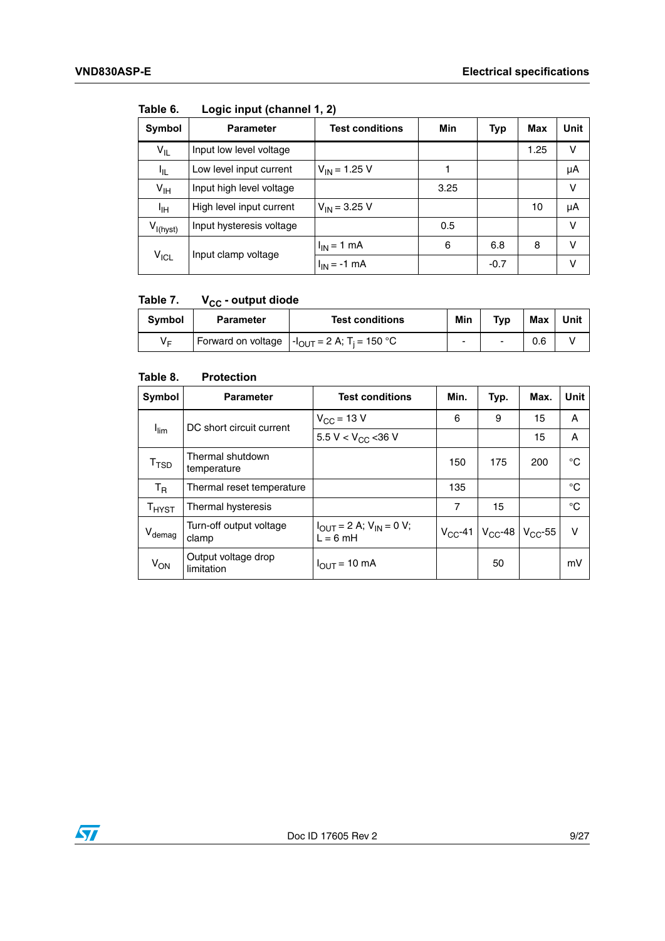| Symbol           | <b>Parameter</b>         | <b>Test conditions</b> | Min  | <b>Typ</b> | Max  | Unit |
|------------------|--------------------------|------------------------|------|------------|------|------|
| $V_{ L}$         | Input low level voltage  |                        |      |            | 1.25 | v    |
| ŀ۱L              | Low level input current  | $V_{IN}$ = 1.25 V      |      |            |      | μA   |
| $V_{\text{IH}}$  | Input high level voltage |                        | 3.25 |            |      | V    |
| ЧH               | High level input current | $V_{IN}$ = 3.25 V      |      |            | 10   | μA   |
| $V_{I(hyst)}$    | Input hysteresis voltage |                        | 0.5  |            |      | v    |
| $V_{\text{ICL}}$ | Input clamp voltage      | $I_{IN}$ = 1 mA        | 6    | 6.8        | 8    | v    |
|                  |                          | $I_{IN}$ = -1 mA       |      | $-0.7$     |      | v    |

<span id="page-8-0"></span>Table 6. Logic input (channel 1, 2)

#### <span id="page-8-1"></span>Table 7. V<sub>CC</sub> - output diode

| <b>Symbol</b> | <b>Parameter</b> | <b>Test conditions</b>                                                                                   | Min | <b>Typ</b> | <b>Max</b> | Unit |
|---------------|------------------|----------------------------------------------------------------------------------------------------------|-----|------------|------------|------|
| V⊏            |                  | Forward on voltage $\vert \cdot \vert_{\text{OUT}} = 2 \text{ A}; \tau_i = 150 \text{ }^{\circ}\text{C}$ | -   |            | 0.6        |      |

#### <span id="page-8-2"></span>Table 8. **Protection**

| Symbol                        | <b>Parameter</b>                  | <b>Test conditions</b>                                       | Min. | Typ.                                       | Max. | <b>Unit</b> |
|-------------------------------|-----------------------------------|--------------------------------------------------------------|------|--------------------------------------------|------|-------------|
|                               | DC short circuit current          | $V_{\rm CC}$ = 13 V                                          | 6    | 9                                          | 15   | A           |
| $I_{\text{lim}}$              |                                   | 5.5 V < $V_{CC}$ < 36 V                                      |      |                                            | 15   | A           |
| T <sub>TSD</sub>              | Thermal shutdown<br>temperature   |                                                              | 150  | 175                                        | 200  | °C          |
| $T_R$                         | Thermal reset temperature         |                                                              | 135  |                                            |      | °C          |
| $T_{H YST}$                   | Thermal hysteresis                |                                                              | 7    | 15                                         |      | °C          |
| $\mathsf{V}_{\mathsf{demag}}$ | Turn-off output voltage<br>clamp  | $I_{\text{OUT}} = 2$ A; $V_{\text{IN}} = 0$ V;<br>$L = 6$ mH |      | $V_{CC}$ -41   $V_{CC}$ -48   $V_{CC}$ -55 |      | $\vee$      |
| V <sub>ON</sub>               | Output voltage drop<br>limitation | $I_{OUT}$ = 10 mA                                            |      | 50                                         |      | mV          |

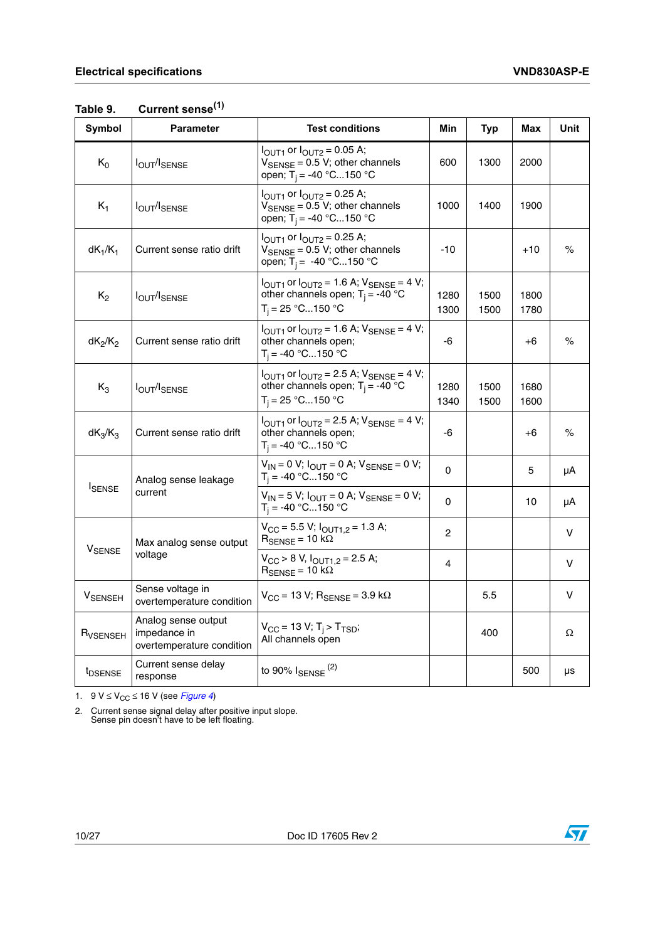<span id="page-9-0"></span>

| Table 9. | Current sense <sup>(1)</sup> |
|----------|------------------------------|
|----------|------------------------------|

| <b>Symbol</b>                                                  | <b>Parameter</b>                                                 | <b>Test conditions</b>                                                                                                                         | Min          | Typ          | Max          | Unit |
|----------------------------------------------------------------|------------------------------------------------------------------|------------------------------------------------------------------------------------------------------------------------------------------------|--------------|--------------|--------------|------|
| $K_0$                                                          | <b>IOUT/ISENSE</b>                                               | $I_{\text{OUT1}}$ or $I_{\text{OUT2}} = 0.05$ A;<br>$V_{\text{SENSE}} = 0.5 V$ ; other channels<br>open; T <sub>i</sub> = -40 °C150 °C         | 600          | 1300         | 2000         |      |
| $K_1$                                                          | $I_{\text{OUT}}/I_{\text{SENSE}}$                                | $I_{\text{OUT1}}$ or $I_{\text{OUT2}} = 0.25$ A;<br>$V_{\text{SENSE}} = 0.5 V$ ; other channels<br>1000<br>open; T <sub>i</sub> = -40 °C150 °C |              | 1400         | 1900         |      |
| $dK_1/K_1$                                                     | Current sense ratio drift                                        | $I_{\text{OUT1}}$ or $I_{\text{OUT2}} = 0.25$ A;<br>$V_{\text{SENSE}} = 0.5 V$ ; other channels<br>open; T <sub>i</sub> = -40 °C150 °C         | $-10$        |              | $+10$        | %    |
| $K_2$                                                          | <b>IOUT/ISENSE</b>                                               | $I_{\text{OUT1}}$ or $I_{\text{OUT2}} = 1.6$ A; $V_{\text{SENSE}} = 4$ V;<br>other channels open; $T_i = -40$ °C<br>$T_i = 25 °C150 °C$        | 1280<br>1300 | 1500<br>1500 | 1800<br>1780 |      |
| $dK_2/K_2$                                                     | Current sense ratio drift                                        | $I_{\text{OUT1}}$ or $I_{\text{OUT2}} = 1.6$ A; $V_{\text{SENSE}} = 4$ V;<br>other channels open;<br>$T_i = -40 °C150 °C$                      | -6           |              | +6           | $\%$ |
| $K_3$                                                          | <b>IOUT/ISENSE</b>                                               | $I_{\text{OUT1}}$ or $I_{\text{OUT2}} = 2.5$ A; $V_{\text{SENSE}} = 4$ V;<br>other channels open; $T_i = -40$ °C<br>$T_i = 25 °C150 °C$        | 1280<br>1340 | 1500<br>1500 | 1680<br>1600 |      |
| $dK_3/K_3$                                                     | Current sense ratio drift                                        | $I_{\text{OUT1}}$ or $I_{\text{OUT2}} = 2.5$ A; $V_{\text{SENSE}} = 4$ V;<br>other channels open;<br>$T_i = -40 °C150 °C$                      | -6           |              | +6           | %    |
|                                                                | Analog sense leakage                                             | $V_{IN} = 0 V$ ; $I_{OUT} = 0 A$ ; $V_{SENSE} = 0 V$ ;<br>$T_i = -40 °C150 °C$                                                                 | $\Omega$     |              | 5            | μA   |
| <b>I</b> SENSE                                                 | current                                                          | $V_{IN}$ = 5 V; $I_{OUT}$ = 0 A; $V_{SENSE}$ = 0 V;<br>$T_i = -40 °C150 °C$                                                                    | 0            |              | 10           | μA   |
| Max analog sense output<br><b>V<sub>SENSE</sub></b><br>voltage |                                                                  | $V_{CC}$ = 5.5 V; $I_{OUT1.2}$ = 1.3 A;<br>$R_{\text{SENSE}} = 10 \text{ k}\Omega$                                                             | $\mathbf{2}$ |              |              | v    |
|                                                                |                                                                  | $V_{CC}$ > 8 V, $I_{OUT1,2}$ = 2.5 A;<br>$R_{\text{SENSE}} = 10 \text{ k}\Omega$                                                               | 4            |              |              | v    |
| <b>V</b> SENSEH                                                | Sense voltage in<br>overtemperature condition                    | $V_{CC}$ = 13 V; R <sub>SENSE</sub> = 3.9 k $\Omega$                                                                                           |              | 5.5          |              | V    |
| R <sub>VSENSEH</sub>                                           | Analog sense output<br>impedance in<br>overtemperature condition | $V_{CC}$ = 13 V; T <sub>i</sub> > T <sub>TSD</sub> ;<br>All channels open                                                                      |              | 400          |              | Ω    |
| <b>IDSENSE</b>                                                 | Current sense delay<br>response                                  | to 90% $I_{\text{SENSE}}$ <sup>(2)</sup>                                                                                                       |              |              | 500          | μs   |

1.  $9 V \leq V_{CC} \leq 16 V$  (see *[Figure 4](#page-10-0)*)

2. Current sense signal delay after positive input slope. Sense pin doesn't have to be left floating.

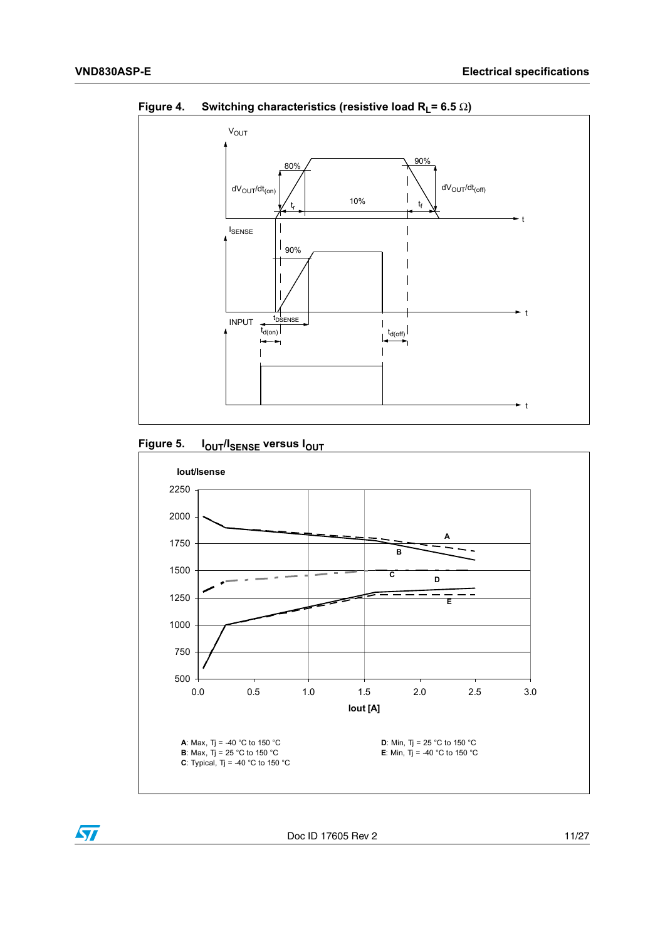

<span id="page-10-0"></span>**Figure 4.** Switching characteristics (resistive load  $R_1 = 6.5 \Omega$ )

<span id="page-10-1"></span>





Doc ID 17605 Rev 2 11/27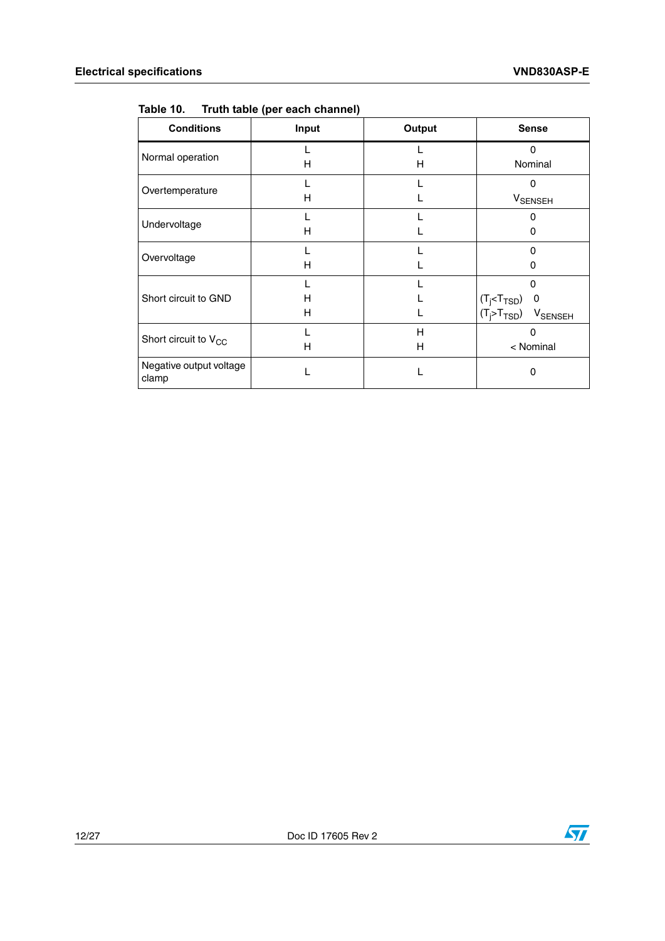<span id="page-11-0"></span>

| Truth table (per each channel) | Table 10. |  |  |  |
|--------------------------------|-----------|--|--|--|
|--------------------------------|-----------|--|--|--|

| <b>Conditions</b>                | Input  | Output | <b>Sense</b>                                                                                                      |  |
|----------------------------------|--------|--------|-------------------------------------------------------------------------------------------------------------------|--|
| Normal operation                 | н      | н      | 0<br>Nominal                                                                                                      |  |
| Overtemperature                  | н      |        | $\Omega$<br><b>V</b> SENSEH                                                                                       |  |
| Undervoltage                     | н      |        | 0<br>0                                                                                                            |  |
| Overvoltage                      | н      |        | O<br>0                                                                                                            |  |
| Short circuit to GND             | н<br>н |        | $\Omega$<br>$(T_j < T_{\text{TSD}})$<br>$\overline{\mathbf{0}}$<br>$(T_i > T_{TSD})$<br><b>V<sub>SENSEH</sub></b> |  |
| Short circuit to $V_{CC}$        | н      | Н<br>Н | 0<br>< Nominal                                                                                                    |  |
| Negative output voltage<br>clamp |        |        | 0                                                                                                                 |  |

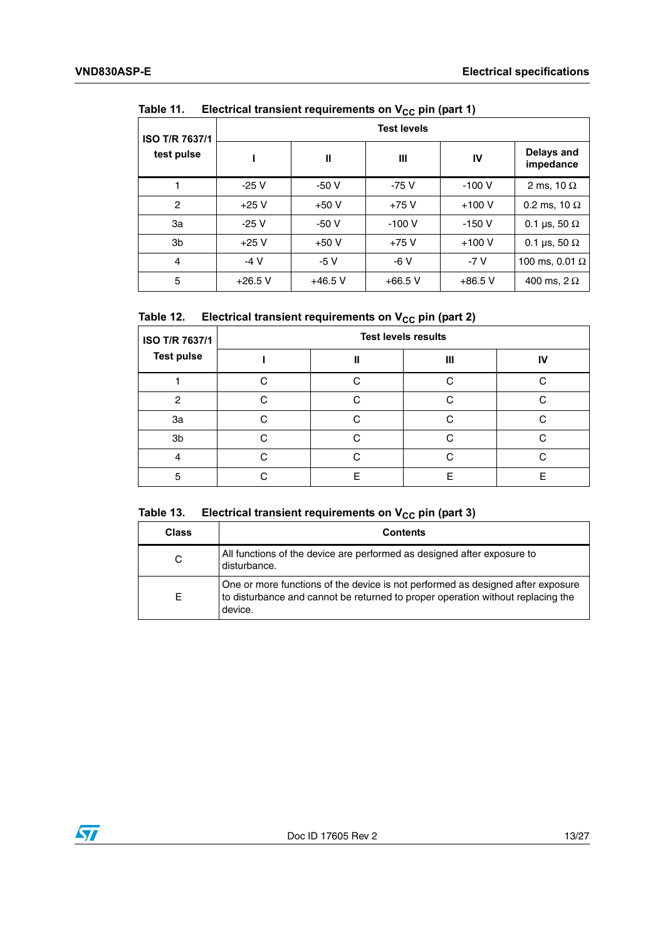| <b>ISO T/R 7637/1</b> |           |           | <b>Test levels</b> |           |                         |
|-----------------------|-----------|-----------|--------------------|-----------|-------------------------|
| test pulse            |           | Ш         | Ш                  | IV        | Delays and<br>impedance |
|                       | $-25V$    | $-50V$    | $-75V$             | $-100V$   | 2 ms, 10 $\Omega$       |
| $\overline{c}$        | $+25V$    | $+50V$    | $+75V$             | $+100V$   | 0.2 ms, 10 $\Omega$     |
| За                    | $-25V$    | $-50V$    | $-100V$            | $-150V$   | 0.1 µs, 50 $\Omega$     |
| 3 <sub>b</sub>        | $+25V$    | $+50V$    | $+75V$             | $+100V$   | 0.1 µs, 50 $\Omega$     |
| 4                     | $-4V$     | $-5V$     | $-6V$              | $-7V$     | 100 ms, 0.01 $\Omega$   |
| 5                     | $+26.5$ V | $+46.5$ V | $+66.5$ V          | $+86.5$ V | 400 ms, $2 \Omega$      |

#### <span id="page-12-0"></span>Table 11 **Electrical transient requirements on V<sub>CC</sub> pin (part 1)**

#### <span id="page-12-1"></span>Table 12. **Electrical transient requirements on V<sub>CC</sub> pin (part 2)**

| ISO T/R 7637/1    |   |   | <b>Test levels results</b> |    |  |  |
|-------------------|---|---|----------------------------|----|--|--|
| <b>Test pulse</b> |   | н | Ш                          | IV |  |  |
|                   | ◠ | ⌒ | C                          |    |  |  |
| 2                 | ⌒ |   | r                          |    |  |  |
| За                | ⌒ | ⌒ | C                          | ⌒  |  |  |
| 3b                |   |   |                            |    |  |  |
| 4                 | ◠ |   | ⌒                          |    |  |  |
| 5                 |   | F | F                          | F  |  |  |

#### <span id="page-12-2"></span>Table 13. **Electrical transient requirements on V<sub>CC</sub> pin (part 3)**

| <b>Class</b> | <b>Contents</b>                                                                                                                                                               |
|--------------|-------------------------------------------------------------------------------------------------------------------------------------------------------------------------------|
| С            | All functions of the device are performed as designed after exposure to<br>disturbance.                                                                                       |
| Е            | One or more functions of the device is not performed as designed after exposure<br>to disturbance and cannot be returned to proper operation without replacing the<br>device. |

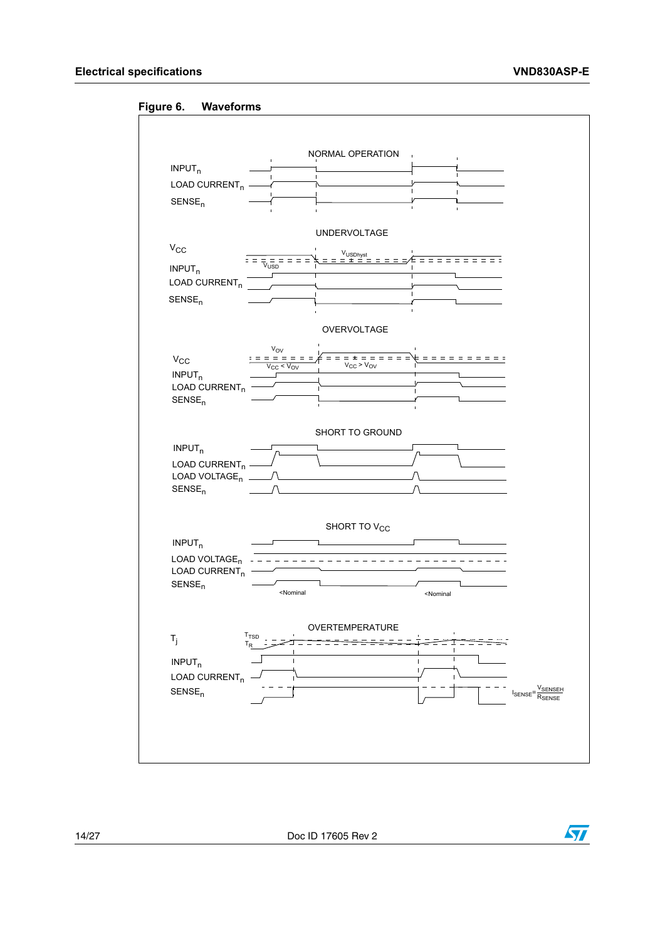<span id="page-13-0"></span>



14/27 Doc ID 17605 Rev 2

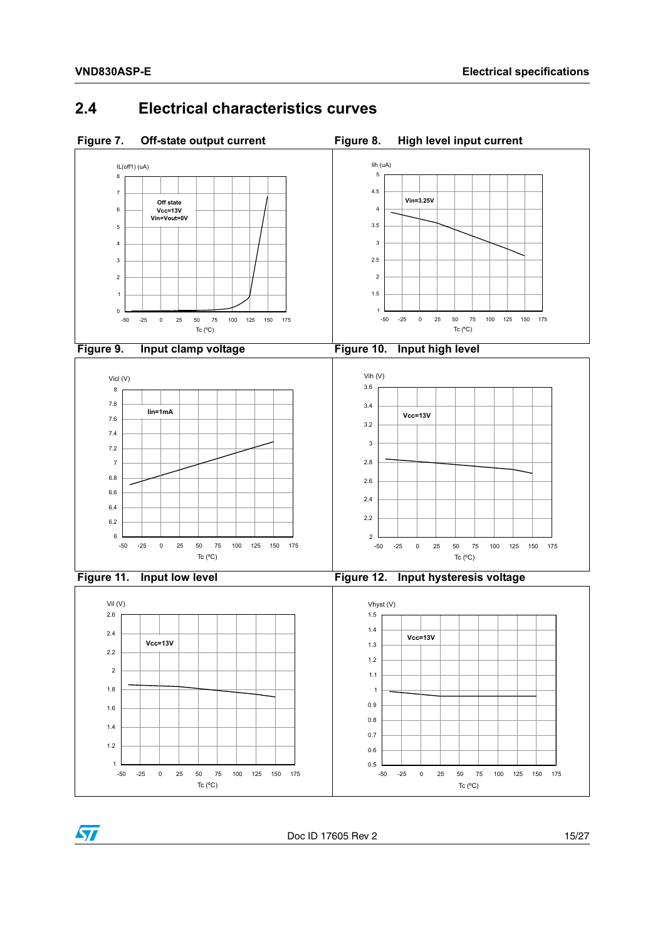<span id="page-14-6"></span><span id="page-14-5"></span> $\sqrt{2}$ 

## <span id="page-14-2"></span><span id="page-14-0"></span>**2.4 Electrical characteristics curves**

<span id="page-14-4"></span><span id="page-14-3"></span><span id="page-14-1"></span>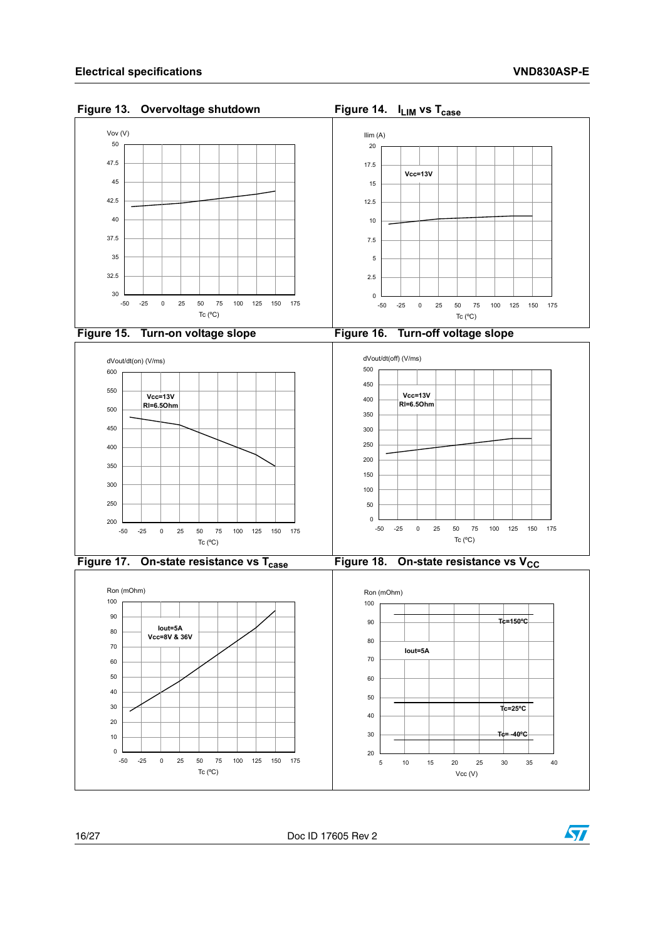<span id="page-15-5"></span> $\sqrt{27}$ 

<span id="page-15-3"></span><span id="page-15-2"></span><span id="page-15-1"></span><span id="page-15-0"></span>

<span id="page-15-4"></span>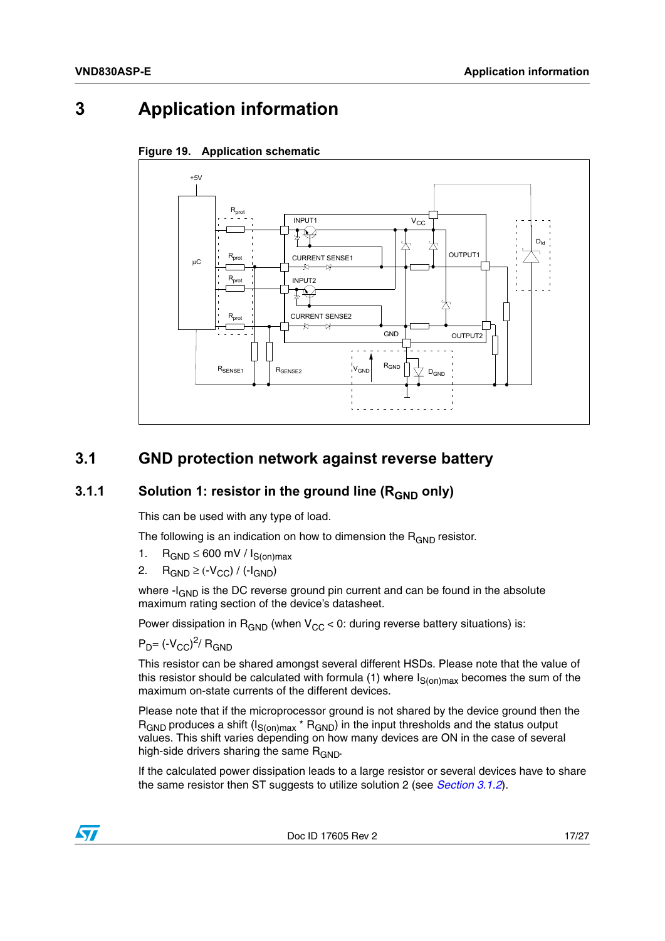## <span id="page-16-0"></span>**3 Application information**



<span id="page-16-3"></span>

### <span id="page-16-1"></span>**3.1 GND protection network against reverse battery**

#### <span id="page-16-2"></span>**3.1.1** Solution 1: resistor in the ground line (R<sub>GND</sub> only)

This can be used with any type of load.

The following is an indication on how to dimension the  $R_{GND}$  resistor.

- 1.  $R_{GND} \leq 600$  mV /  $I_{S(on)max}$
- 2.  $R_{GND} \geq (-V_{CC}) / (-I_{GND})$

where  $-I_{GND}$  is the DC reverse ground pin current and can be found in the absolute maximum rating section of the device's datasheet.

Power dissipation in  $R_{GND}$  (when  $V_{CC}$  < 0: during reverse battery situations) is:

 $P_D$ = (- $V_{CC}$ )<sup>2</sup>/ R<sub>GND</sub>

This resistor can be shared amongst several different HSDs. Please note that the value of this resistor should be calculated with formula (1) where  $I_{S(on)max}$  becomes the sum of the maximum on-state currents of the different devices.

Please note that if the microprocessor ground is not shared by the device ground then the  $R_{\text{GND}}$  produces a shift (I<sub>S(on)max</sub> \*  $R_{\text{GND}}$ ) in the input thresholds and the status output values. This shift varies depending on how many devices are ON in the case of several high-side drivers sharing the same  $R_{GND}$ .

If the calculated power dissipation leads to a large resistor or several devices have to share the same resistor then ST suggests to utilize solution 2 (see *[Section 3.1.2](#page-17-0)*).

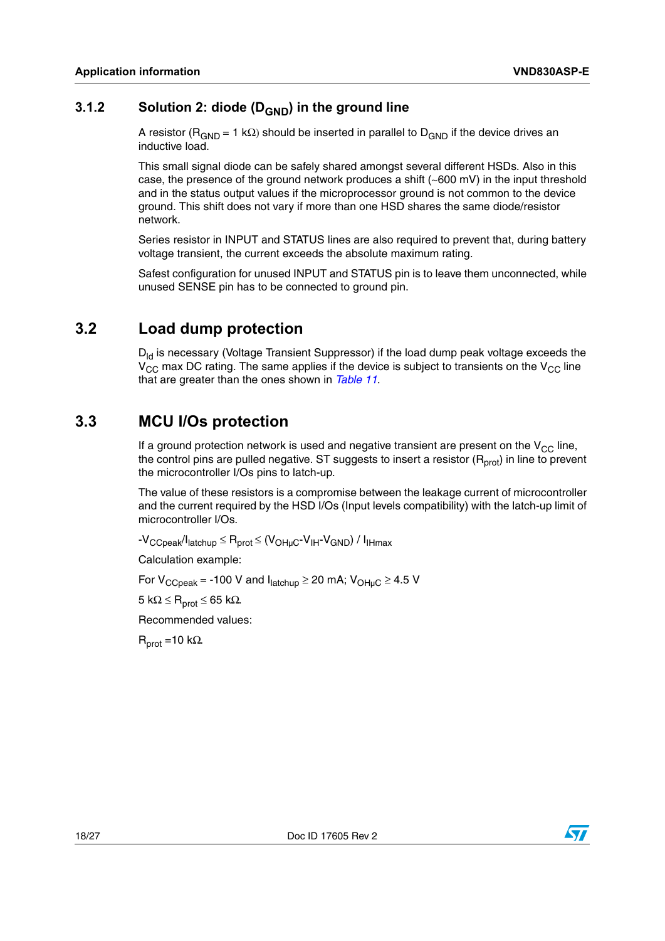### <span id="page-17-0"></span>**3.1.2** Solution 2: diode (D<sub>GND</sub>) in the ground line

A resistor ( $R_{GND} = 1$  k $\Omega$ ) should be inserted in parallel to  $D_{GND}$  if the device drives an inductive load.

This small signal diode can be safely shared amongst several different HSDs. Also in this case, the presence of the ground network produces a shift (∼600 mV) in the input threshold and in the status output values if the microprocessor ground is not common to the device ground. This shift does not vary if more than one HSD shares the same diode/resistor network.

Series resistor in INPUT and STATUS lines are also required to prevent that, during battery voltage transient, the current exceeds the absolute maximum rating.

Safest configuration for unused INPUT and STATUS pin is to leave them unconnected, while unused SENSE pin has to be connected to ground pin.

### <span id="page-17-1"></span>**3.2 Load dump protection**

 $D_{\text{ld}}$  is necessary (Voltage Transient Suppressor) if the load dump peak voltage exceeds the  $V_{CC}$  max DC rating. The same applies if the device is subject to transients on the  $V_{CC}$  line that are greater than the ones shown in *[Table 11](#page-12-0)*.

### <span id="page-17-2"></span>**3.3 MCU I/Os protection**

If a ground protection network is used and negative transient are present on the  $V_{CC}$  line, the control pins are pulled negative. ST suggests to insert a resistor  $(R_{prot})$  in line to prevent the microcontroller I/Os pins to latch-up.

The value of these resistors is a compromise between the leakage current of microcontroller and the current required by the HSD I/Os (Input levels compatibility) with the latch-up limit of microcontroller I/Os.

 $-V_{CCpeak}/I_{latchup} \leq R_{prot} \leq (V_{OH\mu C} - V_{IH} - V_{GND}) / I_{IHmax}$ 

Calculation example:

For  $V_{CCpeak}$  = -100 V and  $I_{\text{latchup}} \ge 20$  mA;  $V_{\text{OHuc}} \ge 4.5$  V

5 kΩ  $\leq$  R<sub>prot</sub>  $\leq$  65 kΩ.

Recommended values:

 $R_{prot} = 10 k\Omega$ .

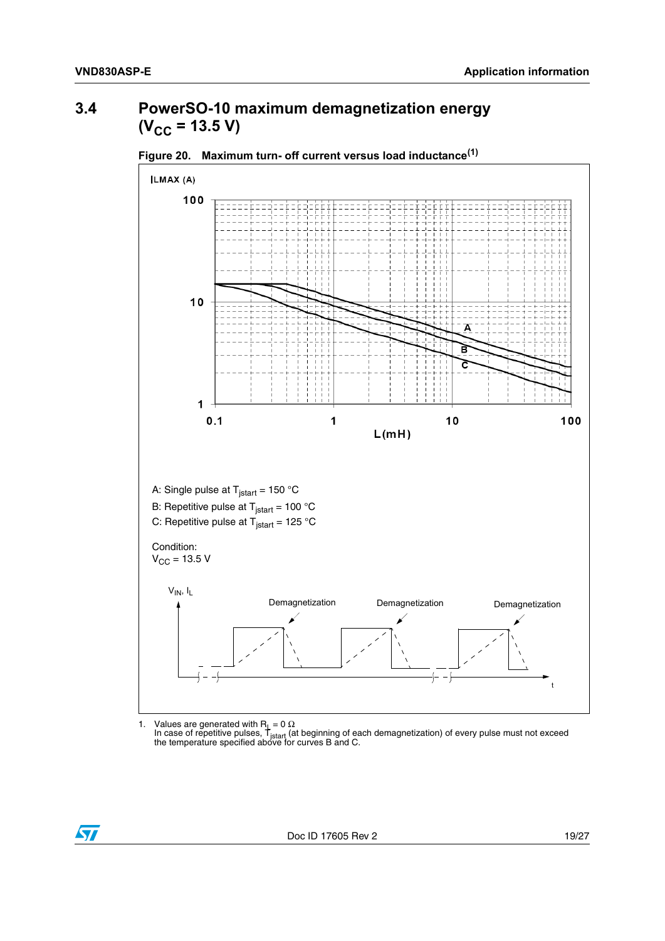## <span id="page-18-0"></span>**3.4 PowerSO-10 maximum demagnetization energy**  $(V_{CC} = 13.5 V)$



<span id="page-18-1"></span>

1. Values are generated with R<sub>L</sub> = 0 Ω<br>In case of repetitive pulses, T<sub>istart</sub> (at beginning of each demagnetization) of every pulse must not exceed<br>the temperature specified above for curves B and C.

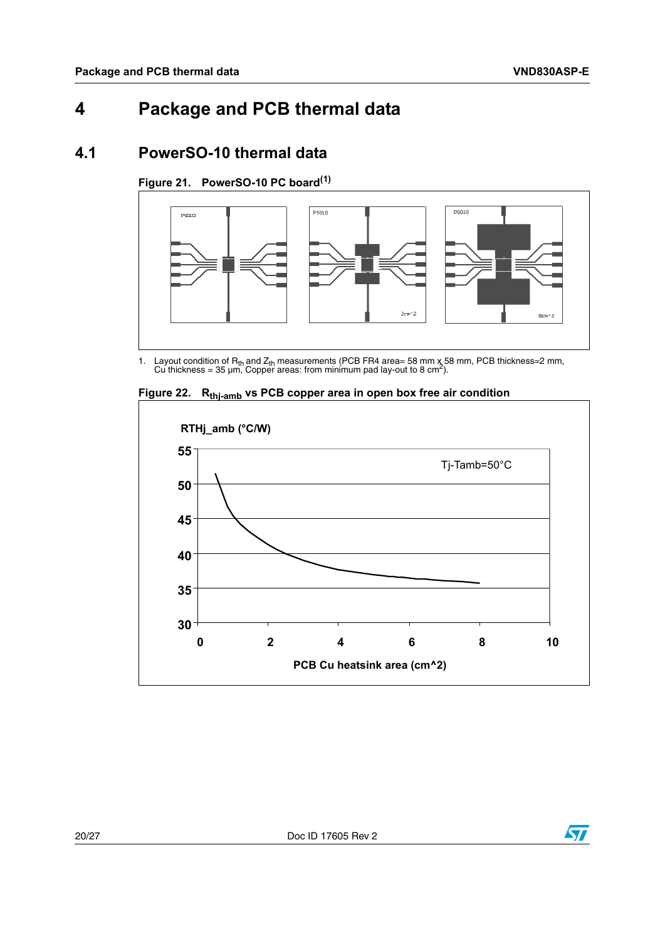## <span id="page-19-0"></span>**4 Package and PCB thermal data**

### <span id="page-19-1"></span>**4.1 PowerSO-10 thermal data**

<span id="page-19-2"></span>**Figure 21. PowerSO-10 PC board(1)**



1. Layout condition of R<sub>th</sub> and Z<sub>th</sub> measurements (PCB FR4 area= 58 mm x 58 mm, PCB thickness=2 mm, Cu thickness = 35 µm, Copper areas: from minimum pad lay-out to 8 cm<sup>2</sup>).



<span id="page-19-3"></span>Figure 22. R<sub>thj-amb</sub> vs PCB copper area in open box free air condition

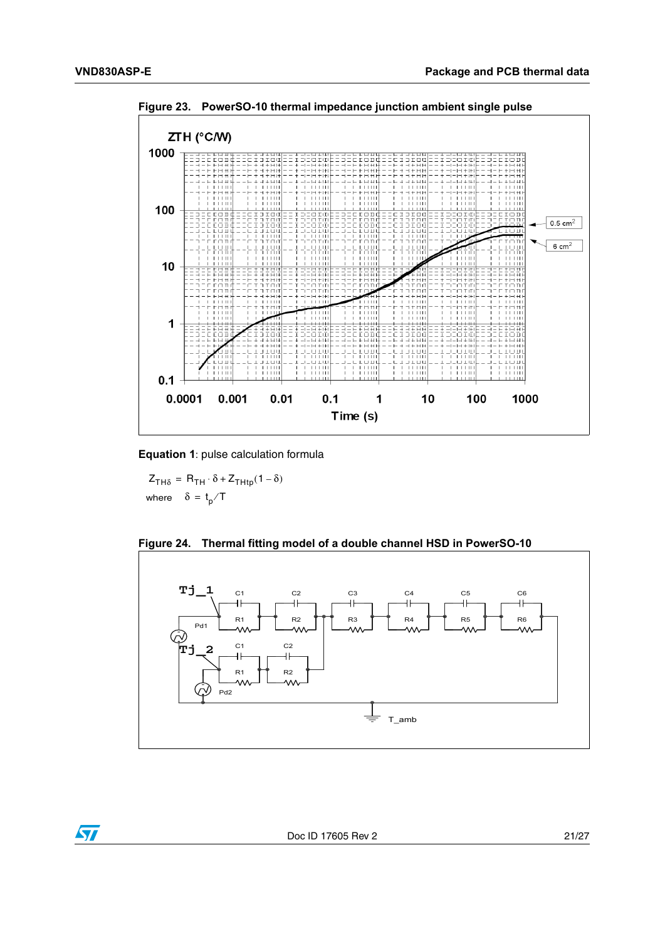

<span id="page-20-0"></span>**Figure 23. PowerSO-10 thermal impedance junction ambient single pulse**

**Equation 1**: pulse calculation formula

 $Z_{TH\delta} = R_{TH} \cdot \delta + Z_{THtp} (1 - \delta)$ where  $\delta = \frac{t}{p}$  T

<span id="page-20-1"></span>

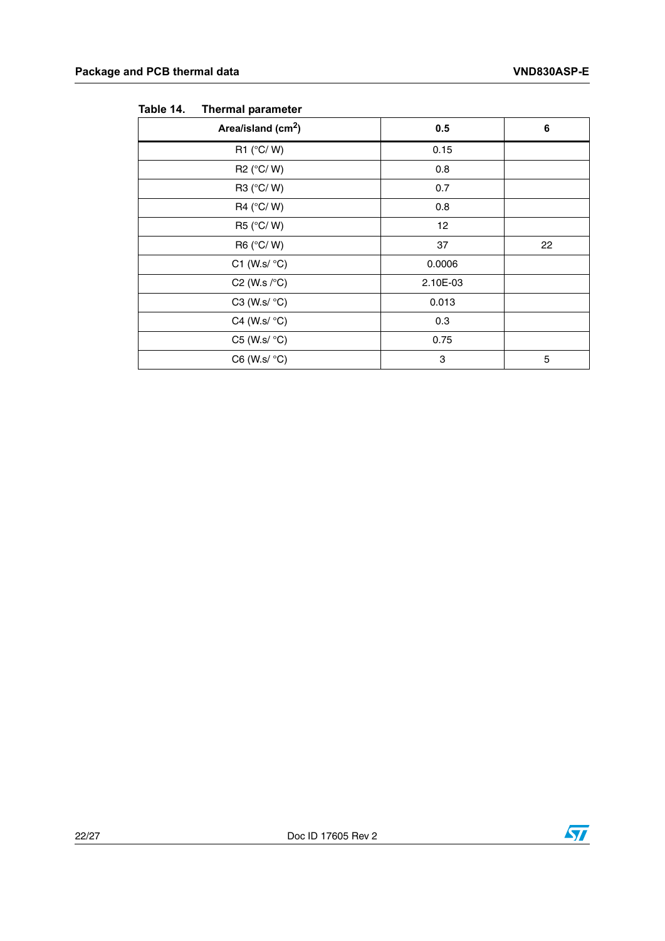| Area/island (cm <sup>2</sup> ) | 0.5      | 6  |
|--------------------------------|----------|----|
| R1 $(^{\circ}C/W)$             | 0.15     |    |
| R2 (°C/W)                      | 0.8      |    |
| R3 (°C/W)                      | 0.7      |    |
| R4 (°C/W)                      | 0.8      |    |
| R5 (°C/W)                      | 12       |    |
| R6 (°C/W)                      | 37       | 22 |
| C1 (W.s/ $\degree$ C)          | 0.0006   |    |
| C2 (W.s $\sqrt{\circ}$ C)      | 2.10E-03 |    |
| C3 (W.s/ $\degree$ C)          | 0.013    |    |
| C4 (W.s/ $\degree$ C)          | 0.3      |    |
| C5 (W.s/ $\degree$ C)          | 0.75     |    |
| $C6$ (W.s/ $\degree C$ )       | 3        | 5  |

#### <span id="page-21-0"></span>Table 14. **Thermal parameter**

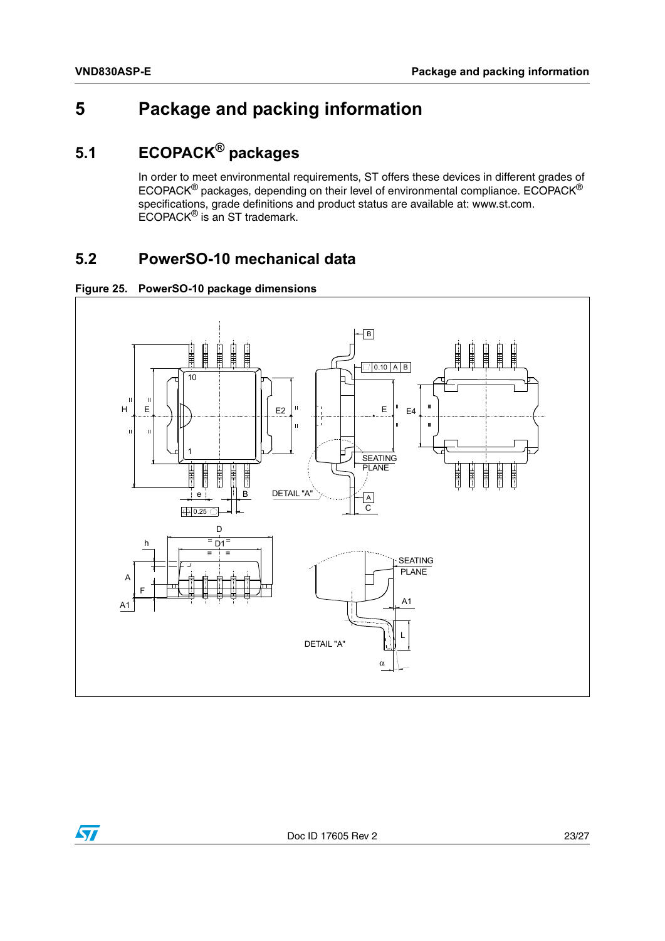## <span id="page-22-0"></span>**5 Package and packing information**

## <span id="page-22-1"></span>**5.1 ECOPACK® packages**

In order to meet environmental requirements, ST offers these devices in different grades of ECOPACK® packages, depending on their level of environmental compliance. ECOPACK® specifications, grade definitions and product status are available at: www.st.com. ECOPACK® is an ST trademark.

## <span id="page-22-2"></span>**5.2 PowerSO-10 mechanical data**

<span id="page-22-3"></span>



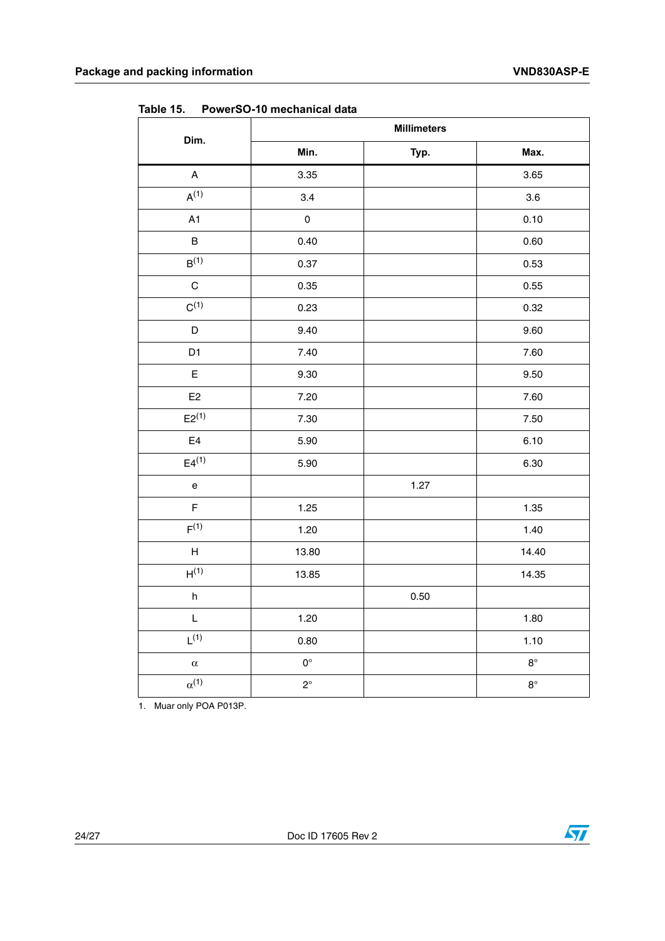|                                   |                    | <b>Millimeters</b> |             |
|-----------------------------------|--------------------|--------------------|-------------|
| Dim.                              | Min.               | Typ.               | Max.        |
| $\mathsf A$                       | 3.35               |                    | 3.65        |
| $A^{(1)}$                         | 3.4                |                    | $3.6\,$     |
| A1                                | $\mathsf 0$        |                    | 0.10        |
| $\sf B$                           | 0.40               |                    | 0.60        |
| B(1)                              | 0.37               |                    | 0.53        |
| $\mathsf C$                       | 0.35               |                    | 0.55        |
| $C^{(1)}$                         | 0.23               |                    | 0.32        |
| D                                 | 9.40               |                    | 9.60        |
| D1                                | 7.40               |                    | 7.60        |
| E                                 | 9.30               |                    | 9.50        |
| E <sub>2</sub>                    | 7.20               |                    | 7.60        |
| $E2^{(1)}$                        | 7.30               |                    | 7.50        |
| $\mathsf{E}4$                     | 5.90               |                    | 6.10        |
| $E4^{(1)}$                        | 5.90               |                    | 6.30        |
| $\mathsf{e}% _{t}\left( t\right)$ |                    | 1.27               |             |
| $\mathsf F$                       | 1.25               |                    | 1.35        |
| F <sup>(1)</sup>                  | 1.20               |                    | 1.40        |
| $\boldsymbol{\mathsf{H}}$         | 13.80              |                    | 14.40       |
| H <sup>(1)</sup>                  | 13.85              |                    | 14.35       |
| $\boldsymbol{\mathsf{h}}$         |                    | 0.50               |             |
| L                                 | 1.20               |                    | 1.80        |
| $L^{(1)}$                         | 0.80               |                    | 1.10        |
| $\alpha$                          | $\mathsf{O}^\circ$ |                    | $8^{\circ}$ |
| $\alpha^{(1)}$                    | $2^{\circ}$        |                    | $8^{\circ}$ |

<span id="page-23-0"></span>Table 15 **Table 15. PowerSO-10 mechanical data**

1. Muar only POA P013P.

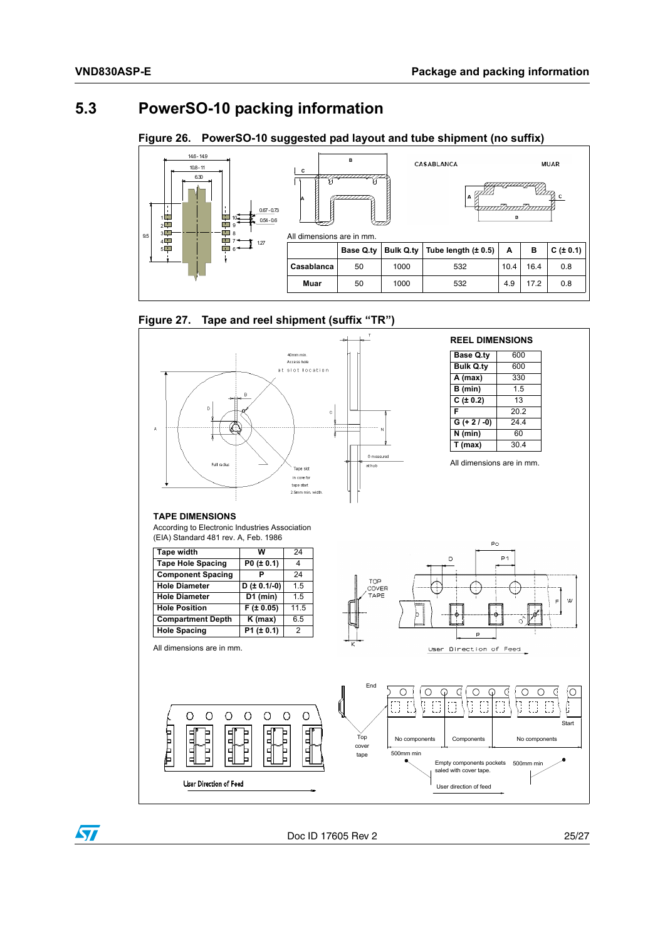### <span id="page-24-0"></span>**5.3 PowerSO-10 packing information**

<span id="page-24-1"></span>**Figure 26. PowerSO-10 suggested pad layout and tube shipment (no suffix)**



<span id="page-24-2"></span>



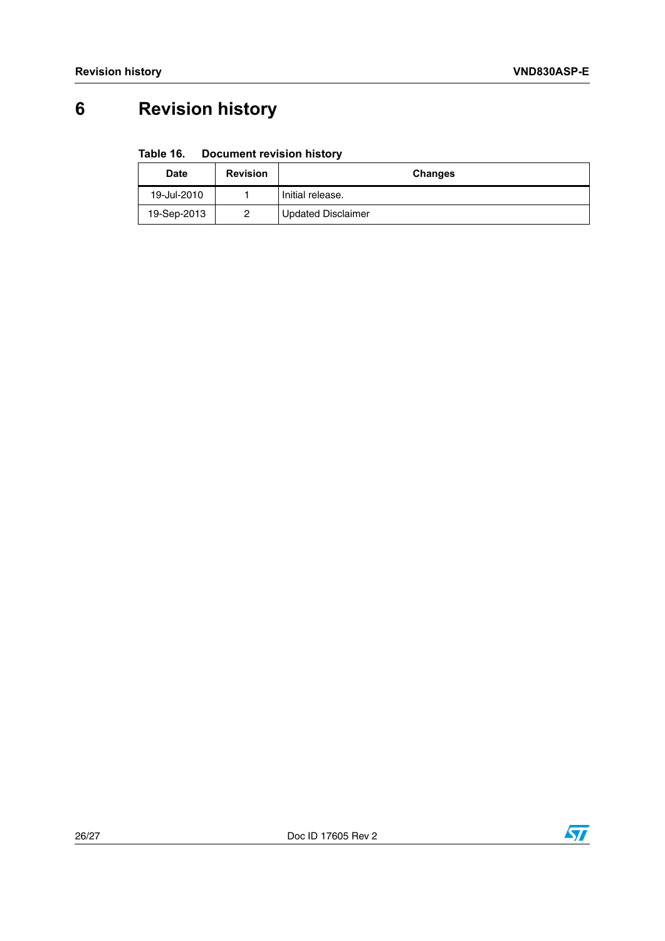# <span id="page-25-0"></span>**6 Revision history**

#### <span id="page-25-1"></span>Table 16. **Document revision history**

| <b>Date</b> | <b>Revision</b> | <b>Changes</b>            |  |
|-------------|-----------------|---------------------------|--|
| 19-Jul-2010 |                 | Initial release.          |  |
| 19-Sep-2013 | 0               | <b>Updated Disclaimer</b> |  |

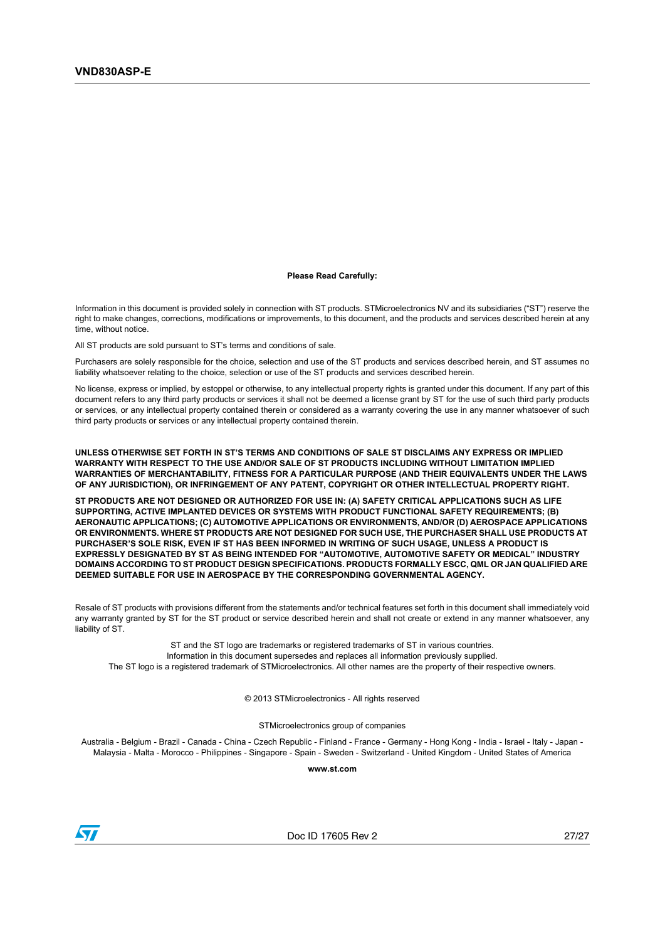#### **Please Read Carefully:**

Information in this document is provided solely in connection with ST products. STMicroelectronics NV and its subsidiaries ("ST") reserve the right to make changes, corrections, modifications or improvements, to this document, and the products and services described herein at any time, without notice.

All ST products are sold pursuant to ST's terms and conditions of sale.

Purchasers are solely responsible for the choice, selection and use of the ST products and services described herein, and ST assumes no liability whatsoever relating to the choice, selection or use of the ST products and services described herein.

No license, express or implied, by estoppel or otherwise, to any intellectual property rights is granted under this document. If any part of this document refers to any third party products or services it shall not be deemed a license grant by ST for the use of such third party products or services, or any intellectual property contained therein or considered as a warranty covering the use in any manner whatsoever of such third party products or services or any intellectual property contained therein.

**UNLESS OTHERWISE SET FORTH IN ST'S TERMS AND CONDITIONS OF SALE ST DISCLAIMS ANY EXPRESS OR IMPLIED WARRANTY WITH RESPECT TO THE USE AND/OR SALE OF ST PRODUCTS INCLUDING WITHOUT LIMITATION IMPLIED WARRANTIES OF MERCHANTABILITY, FITNESS FOR A PARTICULAR PURPOSE (AND THEIR EQUIVALENTS UNDER THE LAWS OF ANY JURISDICTION), OR INFRINGEMENT OF ANY PATENT, COPYRIGHT OR OTHER INTELLECTUAL PROPERTY RIGHT.**

**ST PRODUCTS ARE NOT DESIGNED OR AUTHORIZED FOR USE IN: (A) SAFETY CRITICAL APPLICATIONS SUCH AS LIFE SUPPORTING, ACTIVE IMPLANTED DEVICES OR SYSTEMS WITH PRODUCT FUNCTIONAL SAFETY REQUIREMENTS; (B) AERONAUTIC APPLICATIONS; (C) AUTOMOTIVE APPLICATIONS OR ENVIRONMENTS, AND/OR (D) AEROSPACE APPLICATIONS OR ENVIRONMENTS. WHERE ST PRODUCTS ARE NOT DESIGNED FOR SUCH USE, THE PURCHASER SHALL USE PRODUCTS AT PURCHASER'S SOLE RISK, EVEN IF ST HAS BEEN INFORMED IN WRITING OF SUCH USAGE, UNLESS A PRODUCT IS EXPRESSLY DESIGNATED BY ST AS BEING INTENDED FOR "AUTOMOTIVE, AUTOMOTIVE SAFETY OR MEDICAL" INDUSTRY DOMAINS ACCORDING TO ST PRODUCT DESIGN SPECIFICATIONS. PRODUCTS FORMALLY ESCC, QML OR JAN QUALIFIED ARE DEEMED SUITABLE FOR USE IN AEROSPACE BY THE CORRESPONDING GOVERNMENTAL AGENCY.**

Resale of ST products with provisions different from the statements and/or technical features set forth in this document shall immediately void any warranty granted by ST for the ST product or service described herein and shall not create or extend in any manner whatsoever, any liability of ST.

ST and the ST logo are trademarks or registered trademarks of ST in various countries. Information in this document supersedes and replaces all information previously supplied. The ST logo is a registered trademark of STMicroelectronics. All other names are the property of their respective owners.

© 2013 STMicroelectronics - All rights reserved

STMicroelectronics group of companies

Australia - Belgium - Brazil - Canada - China - Czech Republic - Finland - France - Germany - Hong Kong - India - Israel - Italy - Japan - Malaysia - Malta - Morocco - Philippines - Singapore - Spain - Sweden - Switzerland - United Kingdom - United States of America

**www.st.com**



Doc ID 17605 Rev 2 27/27